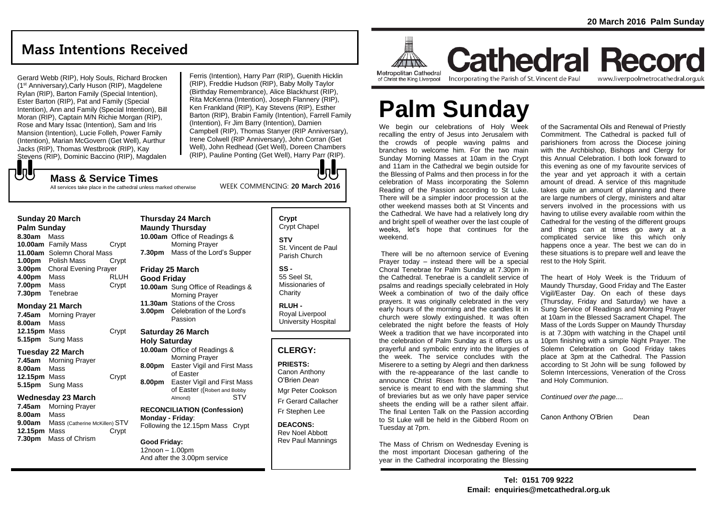## **Mass Intentions Received**

Gerard Webb (RIP), Holy Souls, Richard Brocken (1st Anniversary),Carly Huson (RIP), Magdelene Rylan (RIP), Barton Family (Special Intention), Ester Barton (RIP), Pat and Family (Special Intention), Ann and Family (Special Intention), Bill Moran (RIP), Captain M/N Richie Morgan (RIP), Rose and Mary Issac (Intention), Sam and Iris Mansion (Intention), Lucie Folleh, Power Family (Intention), Marian McGovern (Get Well), Aurthur Jacks (RIP), Thomas Westbrook (RIP), Kay Stevens (RIP), Dominic Baccino (RIP), Magdalen Ferris (Intention), Harry Parr (RIP), Guenith Hicklin (RIP), Freddie Hudson (RIP), Baby Molly Taylor (Birthday Remembrance), Alice Blackhurst (RIP), Rita McKenna (Intention), Joseph Flannery (RIP), Ken Frankland (RIP), Kay Stevens (RIP), Esther Barton (RIP), Brabin Family (Intention), Farrell Family (Intention), Fr Jim Barry (Intention), Damien Campbell (RIP), Thomas Stanyer (RIP Anniversary), Irene Colwell (RIP Anniversary), John Corran (Get Well), John Redhead (Get Well), Doreen Chambers (RIP), Pauline Ponting (Get Well), Harry Parr (RIP).

WEEK COMMENCING: **20 March 2016**

### もし **Mass & Service Times**

All services take place in the cathedral unless marked otherwise

### **Sunday 20 March**

**Palm Sunday 8.30am** Mass **10.00am** Family Mass Crypt **11.00am** Solemn Choral Mass **1.00pm** Polish Mass Crypt **3.00pm** Choral Evening Prayer **4.00pm** Mass RLUH **7.00pm** Mass Crypt **7.30pm** Tenebrae

### **Monday 21 March**

**7.45am** Morning Prayer **8.00am** Mass **12.15pm** Mass Crypt **5.15pm** Sung Mass

### **Tuesday 22 March**

**7.45am** Morning Prayer **8.00am** Mass 12.15pm Mass **Crypt 5.15pm** Sung Mass

### **Wednesday 23 March**

**7.45am** Morning Prayer **8.00am** Mass **9.00am** Mass (Catherine McKillen) STV **12.15pm** Mass **Crypt 7.30pm** Mass of Chrism

### **Thursday 24 March Maundy Thursday 10.00am** Office of Readings & Morning Prayer

**7.30pm** Mass of the Lord's Supper

 $\overline{\phantom{a}}$ 

### **Friday 25 March Good Friday**

**10.00am** Sung Office of Readings & Morning Prayer **11.30am** Stations of the Cross **3.00pm** Celebration of the Lord's Passion

### **Saturday 26 March Holy Saturday**

**10.00am** Office of Readings & Morning Prayer **8.00pm** Easter Vigil and First Mass of Easter **8.00pm** Easter Vigil and First Mass of Easter ((Robert and Bobby Almond) STV

### **RECONCILIATION (Confession) Monday - Friday**: Following the 12.15pm Mass Crypt

**Good Friday:** 12noon – 1.00pm And after the 3.00pm service

### **Crypt**  Crypt Chapel

**STV** St. Vincent de Paul Parish Church

### **SS -** 55 Seel St, Missionaries of

**Charity RLUH -**

Royal Liverpool University Hospital

## **CLERGY:**

**PRIESTS:** Canon Anthony O'Brien *Dean*

Mgr Peter Cookson Fr Gerard Callacher Fr Stephen Lee

**DEACONS:** Rev Noel Abbott Rev Paul Mannings



#### **Metropolitan Cathedral** of Christ the King Liverpool

Incorporating the Parish of St. Vincent de Paul

## **Cathedral Record** www.liverpoolmetrocathedral.org.uk

# **Palm Sunday**

We begin our celebrations of Holy Week recalling the entry of Jesus into Jerusalem with the crowds of people waving palms and branches to welcome him. For the two main Sunday Morning Masses at 10am in the Crypt and 11am in the Cathedral we begin outside for the Blessing of Palms and then process in for the celebration of Mass incorporating the Solemn Reading of the Passion according to St Luke. There will be a simpler indoor procession at the other weekend masses both at St Vincents and the Cathedral. We have had a relatively long dry and bright spell of weather over the last couple of weeks, let's hope that continues for the weekend.

There will be no afternoon service of Evening Prayer today – instead there will be a special Choral Tenebrae for Palm Sunday at 7.30pm in the Cathedral. Tenebrae is a candlelit service of psalms and readings specially celebrated in Holy Week a combination of two of the daily office prayers. It was originally celebrated in the very early hours of the morning and the candles lit in church were slowly extinguished. It was often celebrated the night before the feasts of Holy Week a tradition that we have incorporated into the celebration of Palm Sunday as it offers us a prayerful and symbolic entry into the liturgies of the week. The service concludes with the Miserere to a setting by Alegri and then darkness with the re-appearance of the last candle to announce Christ Risen from the dead. The service is meant to end with the slamming shut of breviaries but as we only have paper service sheets the ending will be a rather silent affair. The final Lenten Talk on the Passion according to St Luke will be held in the Gibberd Room on Tuesday at 7pm.

The Mass of Chrism on Wednesday Evening is the most important Diocesan gathering of the year in the Cathedral incorporating the Blessing

of the Sacramental Oils and Renewal of Priestly Commitment. The Cathedral is packed full of parishioners from across the Diocese joining with the Archbishop. Bishops and Clergy for this Annual Celebration. I both look forward to this evening as one of my favourite services of the year and yet approach it with a certain amount of dread. A service of this magnitude takes quite an amount of planning and there are large numbers of clergy, ministers and altar servers involved in the processions with us having to utilise every available room within the Cathedral for the vesting of the different groups and things can at times go awry at a complicated service like this which only happens once a year. The best we can do in these situations is to prepare well and leave the rest to the Holy Spirit.

The heart of Holy Week is the Triduum of Maundy Thursday, Good Friday and The Easter Vigil/Easter Day. On each of these days (Thursday, Friday and Saturday) we have a Sung Service of Readings and Morning Prayer at 10am in the Blessed Sacrament Chapel. The Mass of the Lords Supper on Maundy Thursday is at 7.30pm with watching in the Chapel until 10pm finishing with a simple Night Prayer. The Solemn Celebration on Good Friday takes place at 3pm at the Cathedral. The Passion according to St John will be sung followed by Solemn Intercessions, Veneration of the Cross and Holy Communion.

*Continued over the page....*

Canon Anthony O'Brien Dean